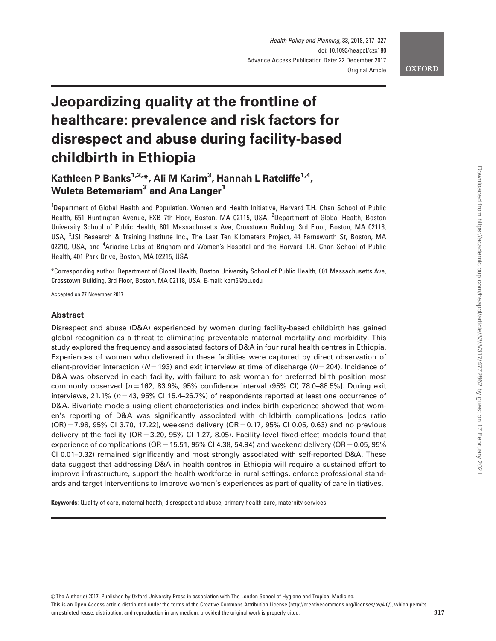Health Policy and Planning, 33, 2018, 317–327 doi: 10.1093/heapol/czx180 Advance Access Publication Date: 22 December 2017 Original Article

**OXFORD** 

# Jeopardizing quality at the frontline of healthcare: prevalence and risk factors for disrespect and abuse during facility-based childbirth in Ethiopia

# Kathleen P Banks<sup>1,2,</sup>\*, Ali M Karim<sup>3</sup>, Hannah L Ratcliffe<sup>1,4</sup>, Wuleta Betemariam<sup>3</sup> and Ana Langer<sup>1</sup>

<sup>1</sup>Department of Global Health and Population, Women and Health Initiative, Harvard T.H. Chan School of Public Health, 651 Huntington Avenue, FXB 7th Floor, Boston, MA 02115, USA, <sup>2</sup>Department of Global Health, Boston University School of Public Health, 801 Massachusetts Ave, Crosstown Building, 3rd Floor, Boston, MA 02118, USA, <sup>3</sup>JSI Research & Training Institute Inc., The Last Ten Kilometers Project, 44 Farnsworth St, Boston, MA 02210, USA, and <sup>4</sup>Ariadne Labs at Brigham and Women's Hospital and the Harvard T.H. Chan School of Public Health, 401 Park Drive, Boston, MA 02215, USA

\*Corresponding author. Department of Global Health, Boston University School of Public Health, 801 Massachusetts Ave, Crosstown Building, 3rd Floor, Boston, MA 02118, USA. E-mail: kpm6@bu.edu

Accepted on 27 November 2017

# Abstract

Disrespect and abuse (D&A) experienced by women during facility-based childbirth has gained global recognition as a threat to eliminating preventable maternal mortality and morbidity. This study explored the frequency and associated factors of D&A in four rural health centres in Ethiopia. Experiences of women who delivered in these facilities were captured by direct observation of client-provider interaction ( $N = 193$ ) and exit interview at time of discharge ( $N = 204$ ). Incidence of D&A was observed in each facility, with failure to ask woman for preferred birth position most commonly observed  $[n = 162, 83.9\%$ , 95% confidence interval (95% CI) 78.0–88.5%]. During exit interviews, 21.1% ( $n = 43$ , 95% Cl 15.4-26.7%) of respondents reported at least one occurrence of D&A. Bivariate models using client characteristics and index birth experience showed that women's reporting of D&A was significantly associated with childbirth complications [odds ratio  $(OR) = 7.98$ , 95% CI 3.70, 17.22], weekend delivery  $(OR = 0.17, 95\%$  CI 0.05, 0.63) and no previous delivery at the facility (OR = 3.20, 95% CI 1.27, 8.05). Facility-level fixed-effect models found that experience of complications (OR = 15.51, 95% CI 4.38, 54.94) and weekend delivery (OR = 0.05, 95% CI 0.01–0.32) remained significantly and most strongly associated with self-reported D&A. These data suggest that addressing D&A in health centres in Ethiopia will require a sustained effort to improve infrastructure, support the health workforce in rural settings, enforce professional standards and target interventions to improve women's experiences as part of quality of care initiatives.

Keywords: Quality of care, maternal health, disrespect and abuse, primary health care, maternity services

Downloaded from https://academic.oup.com/heapol/article/33/3/317/4772862 by guest on 17 February 2021

Downloaded from https://academic.oup.com/heapol/article/33/3/317/4772862 by guest on 17 February 202

This is an Open Access article distributed under the terms of the Creative Commons Attribution License (http://creativecommons.org/licenses/by/4.0/), which permits unrestricted reuse, distribution, and reproduction in any medium, provided the original work is properly cited.  $317$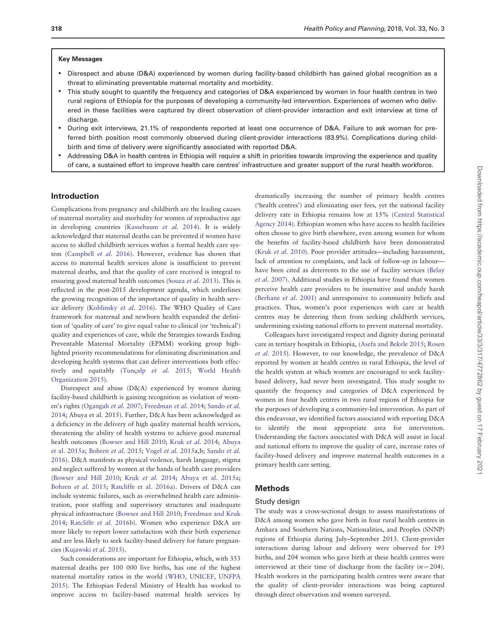#### Key Messages

- Disrespect and abuse (D&A) experienced by women during facility-based childbirth has gained global recognition as a threat to eliminating preventable maternal mortality and morbidity.
- This study sought to quantify the frequency and categories of D&A experienced by women in four health centres in two rural regions of Ethiopia for the purposes of developing a community-led intervention. Experiences of women who delivered in these facilities were captured by direct observation of client-provider interaction and exit interview at time of discharge.
- During exit interviews, 21.1% of respondents reported at least one occurrence of D&A. Failure to ask woman for preferred birth position most commonly observed during client-provider interactions (83.9%). Complications during childbirth and time of delivery were significantly associated with reported D&A.
- Addressing D&A in health centres in Ethiopia will require a shift in priorities towards improving the experience and quality of care, a sustained effort to improve health care centres' infrastructure and greater support of the rural health workforce.

#### Introduction

Complications from pregnancy and childbirth are the leading causes of maternal mortality and morbidity for women of reproductive age in developing countries ([Kassebaum](#page-10-0) et al. 2014). It is widely acknowledged that maternal deaths can be prevented if women have access to skilled childbirth services within a formal health care system ([Campbell](#page-9-0) et al. 2016). However, evidence has shown that access to maternal health services alone is insufficient to prevent maternal deaths, and that the quality of care received is integral to ensuring good maternal health outcomes ([Souza](#page-10-0) et al. 2013). This is reflected in the post-2015 development agenda, which underlines the growing recognition of the importance of quality in health service delivery ([Koblinsky](#page-10-0) et al. 2016). The WHO Quality of Care framework for maternal and newborn health expanded the definition of 'quality of care' to give equal value to clinical (or 'technical') quality and experiences of care, while the Strategies towards Ending Preventable Maternal Mortality (EPMM) working group highlighted priority recommendations for eliminating discrimination and developing health systems that can deliver interventions both effectively and equitably (Tunçalp [et al.](#page-10-0) 2015; [World Health](#page-10-0) [Organization 2015](#page-10-0)).

Disrespect and abuse (D&A) experienced by women during facility-based childbirth is gaining recognition as violation of women's rights [\(Ogangah](#page-10-0) et al. 2007; [Freedman](#page-10-0) et al. 2014; [Sando](#page-10-0) et al. [2014;](#page-10-0) Abuya et al. 2015). Further, D&A has been acknowledged as a deficiency in the delivery of high quality maternal health services, threatening the ability of health systems to achieve good maternal health outcomes [\(Bowser and Hill 2010](#page-9-0); Kruk [et al.](#page-10-0) 2014; [Abuya](#page-9-0) [et al. 2015a;](#page-9-0) [Bohren](#page-9-0) et al. 2015; [Vogel](#page-10-0) et al. 2015a,b; [Sando](#page-10-0) et al. [2016\)](#page-10-0). D&A manifests as physical violence, harsh language, stigma and neglect suffered by women at the hands of health care providers ([Bowser and Hill 2010;](#page-9-0) Kruk [et al.](#page-10-0) 2014; [Abuya et al. 2015a;](#page-9-0) [Bohren](#page-9-0) et al. 2015; [Ratcliffe et al. 2016a\)](#page-10-0). Drivers of D&A can include systemic failures, such as overwhelmed health care administration, poor staffing and supervisory structures and inadequate physical infrastructure ([Bowser and Hill 2010;](#page-9-0) [Freedman and Kruk](#page-10-0) [2014;](#page-10-0) [Ratcliffe](#page-10-0) et al. 2016b). Women who experience D&A are more likely to report lower satisfaction with their birth experience and are less likely to seek facility-based delivery for future pregnancies [\(Kujawski](#page-10-0) et al. 2015).

Such considerations are important for Ethiopia, which, with 353 maternal deaths per 100 000 live births, has one of the highest maternal mortality ratios in the world [\(WHO, UNICEF, UNFPA](#page-10-0) [2015\)](#page-10-0). The Ethiopian Federal Ministry of Health has worked to improve access to facility-based maternal health services by

dramatically increasing the number of primary health centres ('health centres') and eliminating user fees, yet the national facility delivery rate in Ethiopia remains low at 15% ([Central Statistical](#page-9-0) [Agency 2014](#page-9-0)). Ethiopian women who have access to health facilities often choose to give birth elsewhere, even among women for whom the benefits of facility-based childbirth have been demonstrated (Kruk [et al.](#page-10-0) 2010). Poor provider attitudes—including harassment, lack of attention to complaints, and lack of follow-up in labour have been cited as deterrents to the use of facility services [\(Belay](#page-9-0) et al. [2007\)](#page-9-0). Additional studies in Ethiopia have found that women perceive health care providers to be insensitive and unduly harsh ([Berhane](#page-9-0) et al. 2001) and unresponsive to community beliefs and practices. Thus, women's poor experiences with care at health centres may be deterring them from seeking childbirth services, undermining existing national efforts to prevent maternal mortality.

Colleagues have investigated respect and dignity during perinatal care in tertiary hospitals in Ethiopia, [\(Asefa and Bekele 2015;](#page-9-0) [Rosen](#page-10-0) et al. [2015\)](#page-10-0). However, to our knowledge, the prevalence of D&A reported by women at health centres in rural Ethiopia, the level of the health system at which women are encouraged to seek facilitybased delivery, had never been investigated. This study sought to quantify the frequency and categories of D&A experienced by women in four health centres in two rural regions of Ethiopia for the purposes of developing a community-led intervention. As part of this endeavour, we identified factors associated with reporting D&A to identify the most appropriate area for intervention. Understanding the factors associated with D&A will assist in local and national efforts to improve the quality of care, increase rates of facility-based delivery and improve maternal health outcomes in a primary health care setting.

#### Methods

#### Study design

The study was a cross-sectional design to assess manifestations of D&A among women who gave birth in four rural health centres in Amhara and Southern Nations, Nationalities, and Peoples (SNNP) regions of Ethiopia during July–September 2013. Client-provider interactions during labour and delivery were observed for 193 births, and 204 women who gave birth at these health centres were interviewed at their time of discharge from the facility  $(n = 204)$ . Health workers in the participating health centres were aware that the quality of client-provider interactions was being captured through direct observation and women surveyed.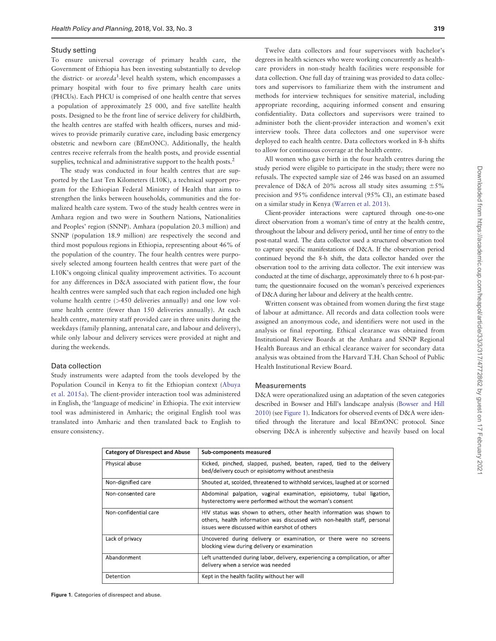#### Study setting

To ensure universal coverage of primary health care, the Government of Ethiopia has been investing substantially to develop the district- or woreda<sup>1</sup>-level health system, which encompasses a primary hospital with four to five primary health care units (PHCUs). Each PHCU is comprised of one health centre that serves a population of approximately 25 000, and five satellite health posts. Designed to be the front line of service delivery for childbirth, the health centres are staffed with health officers, nurses and midwives to provide primarily curative care, including basic emergency obstetric and newborn care (BEmONC). Additionally, the health centres receive referrals from the health posts, and provide essential supplies, technical and administrative support to the health posts.<sup>2</sup>

The study was conducted in four health centres that are supported by the Last Ten Kilometers (L10K), a technical support program for the Ethiopian Federal Ministry of Health that aims to strengthen the links between households, communities and the formalized health care system. Two of the study health centres were in Amhara region and two were in Southern Nations, Nationalities and Peoples' region (SNNP). Amhara (population 20.3 million) and SNNP (population 18.9 million) are respectively the second and third most populous regions in Ethiopia, representing about 46% of the population of the country. The four health centres were purposively selected among fourteen health centres that were part of the L10K's ongoing clinical quality improvement activities. To account for any differences in D&A associated with patient flow, the four health centres were sampled such that each region included one high volume health centre (>450 deliveries annually) and one low volume health centre (fewer than 150 deliveries annually). At each health centre, maternity staff provided care in three units during the weekdays (family planning, antenatal care, and labour and delivery), while only labour and delivery services were provided at night and during the weekends.

#### Data collection

Study instruments were adapted from the tools developed by the Population Council in Kenya to fit the Ethiopian context ([Abuya](#page-9-0) [et al. 2015a\)](#page-9-0). The client-provider interaction tool was administered in English, the 'language of medicine' in Ethiopia. The exit interview tool was administered in Amharic; the original English tool was translated into Amharic and then translated back to English to ensure consistency.

Twelve data collectors and four supervisors with bachelor's degrees in health sciences who were working concurrently as healthcare providers in non-study health facilities were responsible for data collection. One full day of training was provided to data collectors and supervisors to familiarize them with the instrument and methods for interview techniques for sensitive material, including appropriate recording, acquiring informed consent and ensuring confidentiality. Data collectors and supervisors were trained to administer both the client-provider interaction and women's exit interview tools. Three data collectors and one supervisor were deployed to each health centre. Data collectors worked in 8-h shifts to allow for continuous coverage at the health centre.

All women who gave birth in the four health centres during the study period were eligible to participate in the study; there were no refusals. The expected sample size of 246 was based on an assumed prevalence of D&A of 20% across all study sites assuming  $\pm 5\%$ precision and 95% confidence interval (95% CI), an estimate based on a similar study in Kenya ([Warren et al. 2013](#page-10-0)).

Client-provider interactions were captured through one-to-one direct observation from a woman's time of entry at the health centre, throughout the labour and delivery period, until her time of entry to the post-natal ward. The data collector used a structured observation tool to capture specific manifestations of D&A. If the observation period continued beyond the 8-h shift, the data collector handed over the observation tool to the arriving data collector. The exit interview was conducted at the time of discharge, approximately three to 6 h post-partum; the questionnaire focused on the woman's perceived experiences of D&A during her labour and delivery at the health centre.

Written consent was obtained from women during the first stage of labour at admittance. All records and data collection tools were assigned an anonymous code, and identifiers were not used in the analysis or final reporting. Ethical clearance was obtained from Institutional Review Boards at the Amhara and SNNP Regional Health Bureaus and an ethical clearance waiver for secondary data analysis was obtained from the Harvard T.H. Chan School of Public Health Institutional Review Board.

#### Measurements

D&A were operationalized using an adaptation of the seven categories described in Bowser and Hill's landscape analysis [\(Bowser and Hill](#page-9-0) [2010](#page-9-0)) (see Figure 1). Indicators for observed events of D&A were identified through the literature and local BEmONC protocol. Since observing D&A is inherently subjective and heavily based on local

| Sub-components measured                                                       |
|-------------------------------------------------------------------------------|
| Kicked, pinched, slapped, pushed, beaten, raped, tied to the delivery         |
| bed/delivery couch or episiotomy without anesthesia                           |
| Shouted at, scolded, threatened to withhold services, laughed at or scorned   |
| Abdominal palpation, vaginal examination, episiotomy, tubal ligation,         |
| hysterectomy were performed without the woman's consent                       |
| HIV status was shown to others, other health information was shown to         |
| others, health information was discussed with non-health staff, personal      |
| issues were discussed within earshot of others                                |
| Uncovered during delivery or examination, or there were no screens            |
| blocking view during delivery or examination                                  |
| Left unattended during labor, delivery, experiencing a complication, or after |
| delivery when a service was needed                                            |
| Kept in the health facility without her will                                  |
|                                                                               |

Figure 1. Categories of disrespect and abuse.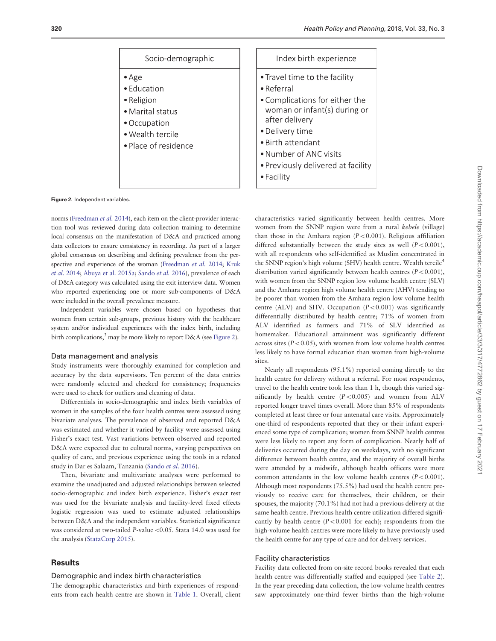

Figure 2. Independent variables.

norms ([Freedman](#page-10-0) et al. 2014), each item on the client-provider interaction tool was reviewed during data collection training to determine local consensus on the manifestation of D&A and practiced among data collectors to ensure consistency in recording. As part of a larger global consensus on describing and defining prevalence from the perspective and experience of the woman ([Freedman](#page-10-0) et al. 2014; [Kruk](#page-10-0) et al. [2014;](#page-10-0) [Abuya et al. 2015a](#page-9-0); [Sando](#page-10-0) et al. 2016), prevalence of each of D&A category was calculated using the exit interview data. Women who reported experiencing one or more sub-components of D&A were included in the overall prevalence measure.

Independent variables were chosen based on hypotheses that women from certain sub-groups, previous history with the healthcare system and/or individual experiences with the index birth, including birth complications, $3$  may be more likely to report D&A (see Figure 2).

#### Data management and analysis

Study instruments were thoroughly examined for completion and accuracy by the data supervisors. Ten percent of the data entries were randomly selected and checked for consistency; frequencies were used to check for outliers and cleaning of data.

Differentials in socio-demographic and index birth variables of women in the samples of the four health centres were assessed using bivariate analyses. The prevalence of observed and reported D&A was estimated and whether it varied by facility were assessed using Fisher's exact test. Vast variations between observed and reported D&A were expected due to cultural norms, varying perspectives on quality of care, and previous experience using the tools in a related study in Dar es Salaam, Tanzania ([Sando](#page-10-0) et al. 2016).

Then, bivariate and multivariate analyses were performed to examine the unadjusted and adjusted relationships between selected socio-demographic and index birth experience. Fisher's exact test was used for the bivariate analysis and facility-level fixed effects logistic regression was used to estimate adjusted relationships between D&A and the independent variables. Statistical significance was considered at two-tailed P-value < 0.05. Stata 14.0 was used for the analysis [\(StataCorp 2015\)](#page-10-0).

# **Results**

#### Demographic and index birth characteristics

The demographic characteristics and birth experiences of respondents from each health centre are shown in [Table 1](#page-4-0). Overall, client characteristics varied significantly between health centres. More women from the SNNP region were from a rural kebele (village) than those in the Amhara region  $(P<0.001)$ . Religious affiliation differed substantially between the study sites as well  $(P<0.001)$ , with all respondents who self-identified as Muslim concentrated in the SNNP region's high volume (SHV) health centre. Wealth tercile<sup>4</sup> distribution varied significantly between health centres  $(P<0.001)$ , with women from the SNNP region low volume health centre (SLV) and the Amhara region high volume health centre (AHV) tending to be poorer than women from the Amhara region low volume health centre (ALV) and SHV. Occupation  $(P<0.001)$  was significantly differentially distributed by health centre; 71% of women from ALV identified as farmers and 71% of SLV identified as homemaker. Educational attainment was significantly different across sites ( $P < 0.05$ ), with women from low volume health centres less likely to have formal education than women from high-volume sites.

Nearly all respondents (95.1%) reported coming directly to the health centre for delivery without a referral. For most respondents, travel to the health centre took less than 1 h, though this varied significantly by health centre  $(P<0.005)$  and women from ALV reported longer travel times overall. More than 85% of respondents completed at least three or four antenatal care visits. Approximately one-third of respondents reported that they or their infant experienced some type of complication; women from SNNP health centres were less likely to report any form of complication. Nearly half of deliveries occurred during the day on weekdays, with no significant difference between health centre, and the majority of overall births were attended by a midwife, although health officers were more common attendants in the low volume health centres  $(P<0.001)$ . Although most respondents (75.5%) had used the health centre previously to receive care for themselves, their children, or their spouses, the majority (70.1%) had not had a previous delivery at the same health centre. Previous health centre utilization differed significantly by health centre  $(P<0.001$  for each); respondents from the high-volume health centres were more likely to have previously used the health centre for any type of care and for delivery services.

#### Facility characteristics

Facility data collected from on-site record books revealed that each health centre was differentially staffed and equipped (see [Table 2](#page-5-0)). In the year preceding data collection, the low-volume health centres saw approximately one-third fewer births than the high-volume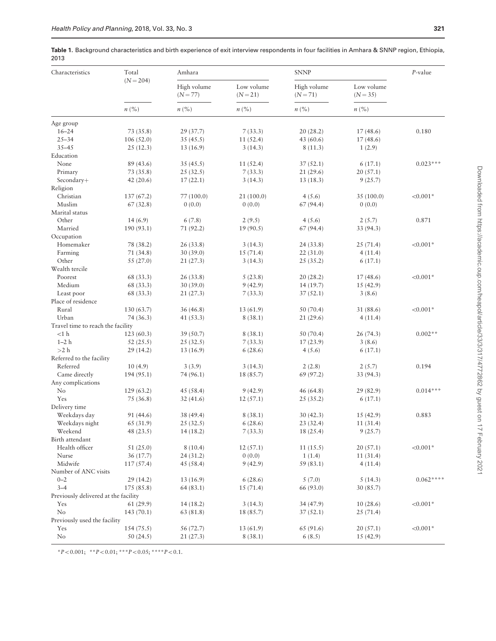| Characteristics                      | Total                       | Amhara                    |                          | <b>SNNP</b>               |                          | P-value     |
|--------------------------------------|-----------------------------|---------------------------|--------------------------|---------------------------|--------------------------|-------------|
|                                      | $(N = 204)$                 | High volume<br>$(N = 77)$ | Low volume<br>$(N = 21)$ | High volume<br>$(N = 71)$ | Low volume<br>$(N = 35)$ |             |
|                                      | $n\left(\frac{0}{0}\right)$ | $n\left(\%\right)$        | $n\left(\%\right)$       | $n\left(\%\right)$        | $n\left(\%\right)$       |             |
| Age group                            |                             |                           |                          |                           |                          |             |
| $16 - 24$                            | 73 (35.8)                   | 29 (37.7)                 | 7(33.3)                  | 20(28.2)                  | 17(48.6)                 | 0.180       |
| $25 - 34$                            | 106(52.0)                   | 35(45.5)                  | 11(52.4)                 | 43 (60.6)                 | 17(48.6)                 |             |
| $3.5 - 4.5$                          | 25(12.3)                    | 13 (16.9)                 | 3(14.3)                  | 8(11.3)                   | 1(2.9)                   |             |
| Education                            |                             |                           |                          |                           |                          |             |
| None                                 | 89 (43.6)                   | 35(45.5)                  | 11(52.4)                 | 37(52.1)                  | 6(17.1)                  | $0.023***$  |
| Primary                              | 73 (35.8)                   | 25(32.5)                  | 7(33.3)                  | 21(29.6)                  | 20(57.1)                 |             |
| Secondary+                           | 42(20.6)                    | 17(22.1)                  | 3(14.3)                  | 13(18.3)                  | 9(25.7)                  |             |
| Religion                             |                             |                           |                          |                           |                          |             |
| Christian                            | 137(67.2)                   | 77 (100.0)                | 21 (100.0)               | 4(5.6)                    | 35(100.0)                | $< 0.001*$  |
| Muslim                               | 67(32.8)                    | 0(0.0)                    | 0(0.0)                   | 67(94.4)                  | 0(0.0)                   |             |
|                                      |                             |                           |                          |                           |                          |             |
| Marital status                       |                             |                           |                          |                           |                          |             |
| Other                                | 14(6.9)                     | 6(7.8)                    | 2(9.5)                   | 4(5.6)                    | 2(5.7)                   | 0.871       |
| Married                              | 190 (93.1)                  | 71(92.2)                  | 19(90.5)                 | 67(94.4)                  | 33 (94.3)                |             |
| Occupation                           |                             |                           |                          |                           |                          |             |
| Homemaker                            | 78 (38.2)                   | 26(33.8)                  | 3(14.3)                  | 24(33.8)                  | 25(71.4)                 | $< 0.001*$  |
| Farming                              | 71(34.8)                    | 30(39.0)                  | 15(71.4)                 | 22(31.0)                  | 4(11.4)                  |             |
| Other                                | 55 (27.0)                   | 21(27.3)                  | 3(14.3)                  | 25(35.2)                  | 6(17.1)                  |             |
| Wealth tercile                       |                             |                           |                          |                           |                          |             |
| Poorest                              | 68 (33.3)                   | 26(33.8)                  | 5(23.8)                  | 20(28.2)                  | 17(48.6)                 | $< 0.001*$  |
| Medium                               | 68 (33.3)                   | 30(39.0)                  | 9(42.9)                  | 14(19.7)                  | 15(42.9)                 |             |
| Least poor                           | 68 (33.3)                   | 21(27.3)                  | 7(33.3)                  | 37(52.1)                  | 3(8.6)                   |             |
| Place of residence                   |                             |                           |                          |                           |                          |             |
| Rural                                | 130(63.7)                   | 36(46.8)                  | 13 (61.9)                | 50 (70.4)                 | 31 (88.6)                | ${<}0.001*$ |
| Urban                                | 74 (36.3)                   | 41(53.3)                  | 8(38.1)                  | 21(29.6)                  | 4(11.4)                  |             |
| Travel time to reach the facility    |                             |                           |                          |                           |                          |             |
| $<1$ h                               | 123(60.3)                   | 39(50.7)                  | 8(38.1)                  | 50 (70.4)                 | 26(74.3)                 | $0.002**$   |
| $1-2$ h                              | 52(25.5)                    | 25(32.5)                  | 7(33.3)                  | 17(23.9)                  | 3(8.6)                   |             |
| >2 h                                 | 29(14.2)                    | 13(16.9)                  | 6(28.6)                  | 4(5.6)                    | 6(17.1)                  |             |
| Referred to the facility             |                             |                           |                          |                           |                          |             |
| Referred                             | 10(4.9)                     | 3(3.9)                    | 3(14.3)                  | 2(2.8)                    | 2(5.7)                   | 0.194       |
| Came directly                        | 194 (95.1)                  | 74 (96.1)                 | 18 (85.7)                | 69 (97.2)                 | 33 (94.3)                |             |
| Any complications                    |                             |                           |                          |                           |                          |             |
| No                                   | 129(63.2)                   | 45(58.4)                  | 9(42.9)                  | 46 (64.8)                 | 29 (82.9)                | $0.014***$  |
| Yes                                  | 75(36.8)                    | 32(41.6)                  | 12(57.1)                 | 25(35.2)                  | 6(17.1)                  |             |
| Delivery time                        |                             |                           |                          |                           |                          |             |
| Weekdays day                         | 91 (44.6)                   | 38 (49.4)                 | 8(38.1)                  | 30(42.3)                  | 15(42.9)                 | 0.883       |
| Weekdays night                       |                             | 25(32.5)                  | 6(28.6)                  | 23(32.4)                  |                          |             |
| Weekend                              | 65 (31.9)                   |                           |                          |                           | 11(31.4)                 |             |
|                                      | 48 (23.5)                   | 14(18.2)                  | 7(33.3)                  | 18 (25.4)                 | 9(25.7)                  |             |
| Birth attendant                      |                             |                           |                          |                           |                          |             |
| Health officer                       | 51 (25.0)                   | 8(10.4)                   | 12(57.1)                 | 11(15.5)                  | 20 (57.1)                | $< 0.001*$  |
| Nurse                                | 36(17.7)                    | 24(31.2)                  | 0(0.0)                   | 1(1.4)                    | 11(31.4)                 |             |
| Midwife                              | 117(57.4)                   | 45 (58.4)                 | 9(42.9)                  | 59 (83.1)                 | 4(11.4)                  |             |
| Number of ANC visits                 |                             |                           |                          |                           |                          |             |
| $0 - 2$                              | 29(14.2)                    | 13(16.9)                  | 6(28.6)                  | 5(7.0)                    | 5(14.3)                  | $0.062***$  |
| $3 - 4$                              | 175(85.8)                   | 64 (83.1)                 | 15(71.4)                 | 66 (93.0)                 | 30 (85.7)                |             |
| Previously delivered at the facility |                             |                           |                          |                           |                          |             |
| Yes                                  | 61(29.9)                    | 14(18.2)                  | 3(14.3)                  | 34 (47.9)                 | 10(28.6)                 | ${<}0.001*$ |
| No                                   | 143(70.1)                   | 63 (81.8)                 | 18 (85.7)                | 37(52.1)                  | 25 (71.4)                |             |
| Previously used the facility         |                             |                           |                          |                           |                          |             |
| Yes                                  | 154(75.5)                   | 56 (72.7)                 | 13(61.9)                 | 65 (91.6)                 | 20 (57.1)                | $< 0.001*$  |
| No                                   | 50(24.5)                    | 21(27.3)                  | 8(38.1)                  | 6(8.5)                    | 15(42.9)                 |             |

<span id="page-4-0"></span>Table 1. Background characteristics and birth experience of exit interview respondents in four facilities in Amhara & SNNP region, Ethiopia, 2013

 $^*P<0.001; \ ^{**}P<0.01; \ ^{***}P<0.05; \ ^{***}P<0.1.$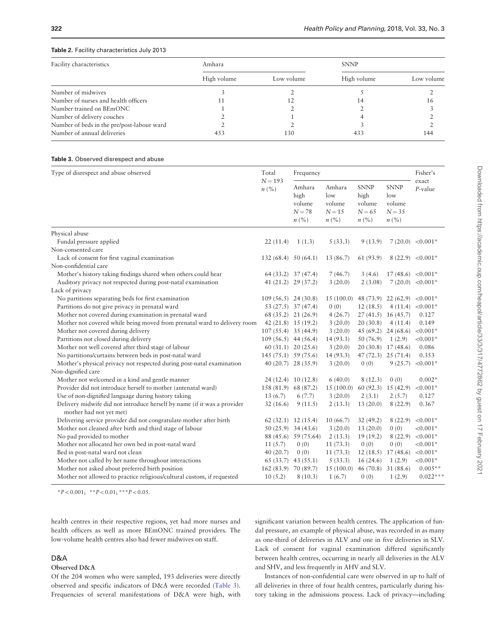# <span id="page-5-0"></span>Table 2. Facility characteristics July 2013

| Facility characteristics                   | Amhara      |            | <b>SNNP</b> |            |  |
|--------------------------------------------|-------------|------------|-------------|------------|--|
|                                            | High volume | Low volume | High volume | Low volume |  |
| Number of midwives                         |             |            |             |            |  |
| Number of nurses and health officers       | 11          |            |             | 16         |  |
| Number trained on BEmONC                   |             |            |             |            |  |
| Number of delivery couches                 |             |            |             |            |  |
| Number of beds in the pre/post-labour ward |             |            |             |            |  |
| Number of annual deliveries                | 453         | 130        | 433         | 144        |  |

#### Table 3. Observed disrespect and abuse

| Type of disrespect and abuse observed                                                               |                                          | Frequency                                                  |                                                                  |                                                                        |                                                                | Fisher's                      |
|-----------------------------------------------------------------------------------------------------|------------------------------------------|------------------------------------------------------------|------------------------------------------------------------------|------------------------------------------------------------------------|----------------------------------------------------------------|-------------------------------|
|                                                                                                     | $N = 193$<br>$n\left(\frac{0}{0}\right)$ | Amhara<br>high<br>volume<br>$N = 78$<br>$n\left(\%\right)$ | Amhara<br>low<br>volume<br>$N=15$<br>$n\left(\frac{9}{6}\right)$ | <b>SNNP</b><br>high<br>volume<br>$N=65$<br>$n\left(\frac{0}{0}\right)$ | <b>SNNP</b><br>low<br>volume<br>$N = 35$<br>$n\left(\%\right)$ | exact<br>$P$ -value           |
| Physical abuse                                                                                      |                                          |                                                            |                                                                  |                                                                        |                                                                |                               |
| Fundal pressure applied                                                                             | 22(11.4)                                 | 1(1.3)                                                     | 5(33.3)                                                          | 9(13.9)                                                                |                                                                | $7(20.0)$ <0.001 <sup>*</sup> |
| Non-consented care                                                                                  |                                          |                                                            |                                                                  |                                                                        |                                                                |                               |
| Lack of consent for first vaginal examination                                                       | $132(68.4)$ 50 (64.1)                    |                                                            | 13 (86.7)                                                        | 61 (93.9)                                                              |                                                                | $8(22.9) < 0.001*$            |
| Non-confidential care                                                                               |                                          |                                                            |                                                                  |                                                                        |                                                                |                               |
| Mother's history taking findings shared when others could hear                                      |                                          | 64 (33.2) 37 (47.4)                                        | 7(46.7)                                                          | 3(4.6)                                                                 | $17(48.6)$ <0.001*                                             |                               |
| Auditory privacy not respected during post-natal examination                                        |                                          | 41 (21.2) 29 (37.2)                                        | 3(20.0)                                                          | 2(3.08)                                                                |                                                                | $7(20.0)$ <0.001*             |
| Lack of privacy                                                                                     |                                          |                                                            |                                                                  |                                                                        |                                                                |                               |
| No partitions separating beds for first examination                                                 | $109(56.5)$ 24 (30.8)                    |                                                            | 15(100.0)                                                        |                                                                        | 48 (73.9) 22 (62.9) < 0.001*                                   |                               |
| Partitions do not give privacy in prenatal ward                                                     |                                          | 53 (27.5) 37 (47.4)                                        | 0(0)                                                             | 12(18.5)                                                               |                                                                | $4(11.4) < 0.001*$            |
| Mother not covered during examination in prenatal ward                                              |                                          | 68 (35.2) 21 (26.9)                                        | 4(26.7)                                                          | $27(41.5)$ 16 (45.7)                                                   |                                                                | 0.127                         |
| Mother not covered while being moved from prenatal ward to delivery room                            |                                          | $42(21.8)$ 15 (19.2)                                       | 3(20.0)                                                          | 20(30.8)                                                               | 4(11.4)                                                        | 0.149                         |
| Mother not covered during delivery                                                                  | $107(55.4)$ 35 (44.9)                    |                                                            | 3(20.0)                                                          |                                                                        | $45(69.2)$ 24 (68.6)                                           | $< 0.001*$                    |
| Partitions not closed during delivery                                                               | $109(56.5)$ 44 (56.4)                    |                                                            | 14 (93.3)                                                        | 50 (76.9)                                                              | 1(2.9)                                                         | $< 0.001*$                    |
| Mother not well covered after third stage of labour                                                 |                                          | $60(31.1)$ 20 (25.6)                                       | 3(20.0)                                                          | $20(30.8)$ 17 (48.6)                                                   |                                                                | 0.086                         |
| No partitions/curtains between beds in post-natal ward                                              | 145 (75.1) 59 (75.6)                     |                                                            | 14 (93.3)                                                        | 47 (72.3) 25 (71.4)                                                    |                                                                | 0.353                         |
| Mother's physical privacy not respected during post-natal examination                               |                                          | 40 (20.7) 28 (35.9)                                        | 3(20.0)                                                          | 0(0)                                                                   | 9(25.7)                                                        | ${<}0.001*$                   |
| Non-dignified care                                                                                  |                                          |                                                            |                                                                  |                                                                        |                                                                |                               |
| Mother not welcomed in a kind and gentle manner                                                     |                                          | 24 (12.4) 10 (12.8)                                        | 6(40.0)                                                          | 8(12.3)                                                                | 0(0)                                                           | $0.002*$                      |
| Provider did not introduce herself to mother (antenatal ward)                                       | 158 (81.9) 68 (87.2)                     |                                                            | 15(100.0)                                                        | 60(92.3)                                                               | 15(42.9)                                                       | ${<}0.001*$                   |
| Use of non-dignified language during history taking                                                 | 13(6.7)                                  | 6(7.7)                                                     | 3(20.0)                                                          | 2(3.1)                                                                 | 2(5.7)                                                         | 0.127                         |
| Delivery midwife did not introduce herself by name (if it was a provider<br>mother had not yet met) | 32(16.6)                                 | 9(11.5)                                                    | 2(13.3)                                                          | 13(20.0)                                                               | 8(22.9)                                                        | 0.367                         |
| Delivering service provider did not congratulate mother after birth                                 |                                          | $62(32.1)$ 12 (15.4)                                       | 10(66.7)                                                         | 32(49.2)                                                               | 8(22.9)                                                        | $< 0.001*$                    |
| Mother not cleaned after birth and third stage of labour                                            |                                          | $50(25.9)$ 34 (43.6)                                       | 3(20.0)                                                          | 13(20.0)                                                               | 0(0)                                                           | $< 0.001*$                    |
| No pad provided to mother                                                                           |                                          | 88 (45.6) 59 (75.64)                                       | 2(13.3)                                                          | 19(19.2)                                                               | 8(22.9)                                                        | ${<}0.001*$                   |
| Mother not allocated her own bed in post-natal ward                                                 | 11(5.7)                                  | 0(0)                                                       | 11(73.3)                                                         | 0(0)                                                                   | 0(0)                                                           | $< 0.001*$                    |
| Bed in post-natal ward not clean                                                                    | 40(20.7)                                 | 0(0)                                                       | 11(73.3)                                                         | 12(18.5)                                                               | $17(48.6)$ < 0.001 <sup>*</sup>                                |                               |
| Mother not called by her name throughout interactions                                               | 65 (33.7)                                | 43(55.1)                                                   | 5(33.3)                                                          | 16(24.6)                                                               | 1(2.9)                                                         | ${<}0.001*$                   |
| Mother not asked about preferred birth position                                                     | 162(83.9)                                | 70 (89.7)                                                  | 15(100.0)                                                        | 46 (70.8)                                                              | 31 (88.6)                                                      | $0.005**$                     |
| Mother not allowed to practice religious/cultural custom, if requested                              | 10(5.2)                                  | 8(10.3)                                                    | 1(6.7)                                                           | 0(0)                                                                   | 1(2.9)                                                         | $0.022***$                    |

\*P < 0.001; \*\* P < 0.01; \*\*\* P < 0.05.

health centres in their respective regions, yet had more nurses and health officers as well as more BEmONC trained providers. The low-volume health centres also had fewer midwives on staff.

# D&A

# Observed D&A

Of the 204 women who were sampled, 193 deliveries were directly observed and specific indicators of D&A were recorded (Table 3). Frequencies of several manifestations of D&A were high, with significant variation between health centres. The application of fundal pressure, an example of physical abuse, was recorded in as many as one-third of deliveries in ALV and one in five deliveries in SLV. Lack of consent for vaginal examination differed significantly between health centres, occurring in nearly all deliveries in the ALV and SHV, and less frequently in AHV and SLV.

Instances of non-confidential care were observed in up to half of all deliveries in three of four health centres, particularly during history taking in the admissions process. Lack of privacy—including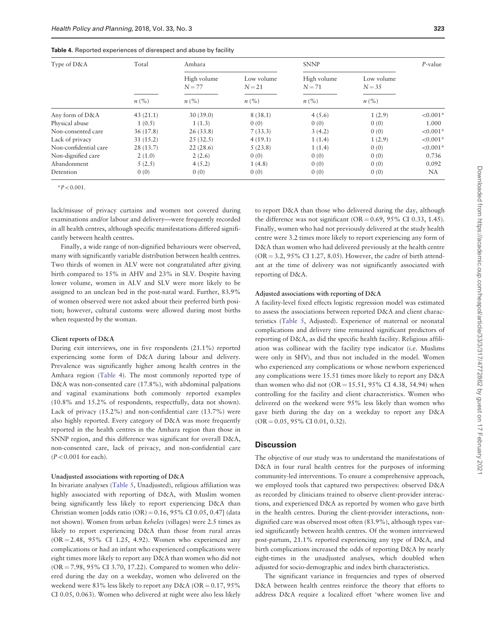|  |  |  | Table 4. Reported experiences of disrespect and abuse by facility |  |  |  |
|--|--|--|-------------------------------------------------------------------|--|--|--|
|--|--|--|-------------------------------------------------------------------|--|--|--|

| Type of D&A           | Total                       | Amhara                      |                        | <b>SNNP</b>             |                        | $P$ -value |
|-----------------------|-----------------------------|-----------------------------|------------------------|-------------------------|------------------------|------------|
|                       |                             | High volume<br>$N = 77$     | Low volume<br>$N = 21$ | High volume<br>$N = 71$ | Low volume<br>$N = 35$ |            |
|                       | $n\left(\frac{9}{6}\right)$ | $n\left(\frac{9}{6}\right)$ | $n\ (%)$               | $n\left(\%\right)$      | $n\left(\%\right)$     |            |
| Any form of D&A       | 43(21.1)                    | 30(39.0)                    | 8(38.1)                | 4(5.6)                  | 1(2.9)                 | $< 0.001*$ |
| Physical abuse        | 1(0.5)                      | 1(1.3)                      | 0(0)                   | 0(0)                    | 0(0)                   | 1.000      |
| Non-consented care    | 36(17.8)                    | 26(33.8)                    | 7(33.3)                | 3(4.2)                  | 0(0)                   | $< 0.001*$ |
| Lack of privacy       | 31(15.2)                    | 25(32.5)                    | 4(19.1)                | 1(1.4)                  | 1(2.9)                 | $< 0.001*$ |
| Non-confidential care | 28 (13.7)                   | 22(28.6)                    | 5(23.8)                | 1(1.4)                  | 0(0)                   | $< 0.001*$ |
| Non-dignified care    | 2(1.0)                      | 2(2.6)                      | 0(0)                   | 0(0)                    | 0(0)                   | 0.736      |
| Abandonment           | 5(2.5)                      | 4(5.2)                      | 1(4.8)                 | 0(0)                    | 0(0)                   | 0.092      |
| Detention             | 0(0)                        | 0(0)                        | 0(0)                   | 0(0)                    | 0(0)                   | NA         |

 $*P<0.001$ .

lack/misuse of privacy curtains and women not covered during examinations and/or labour and delivery—were frequently recorded in all health centres, although specific manifestations differed significantly between health centres.

Finally, a wide range of non-dignified behaviours were observed, many with significantly variable distribution between health centres. Two thirds of women in ALV were not congratulated after giving birth compared to 15% in AHV and 23% in SLV. Despite having lower volume, women in ALV and SLV were more likely to be assigned to an unclean bed in the post-natal ward. Further, 83.9% of women observed were not asked about their preferred birth position; however, cultural customs were allowed during most births when requested by the woman.

#### Client reports of D&A

During exit interviews, one in five respondents (21.1%) reported experiencing some form of D&A during labour and delivery. Prevalence was significantly higher among health centres in the Amhara region (Table 4). The most commonly reported type of D&A was non-consented care (17.8%), with abdominal palpations and vaginal examinations both commonly reported examples (10.8% and 15.2% of respondents, respectfully, data not shown). Lack of privacy (15.2%) and non-confidential care (13.7%) were also highly reported. Every category of D&A was more frequently reported in the health centres in the Amhara region than those in SNNP region, and this difference was significant for overall D&A, non-consented care, lack of privacy, and non-confidential care  $(P<0.001$  for each).

# Unadjusted associations with reporting of D&A

In bivariate analyses ([Table 5](#page-7-0), Unadjusted), religious affiliation was highly associated with reporting of D&A, with Muslim women being significantly less likely to report experiencing D&A than Christian women [odds ratio  $(OR) = 0.16, 95\%$  CI 0.05, 0.47] (data not shown). Women from urban kebeles (villages) were 2.5 times as likely to report experiencing D&A than those from rural areas  $(OR = 2.48, 95\% \text{ CI } 1.25, 4.92)$ . Women who experienced any complications or had an infant who experienced complications were eight times more likely to report any D&A than women who did not  $(OR = 7.98, 95\% \text{ CI } 3.70, 17.22)$ . Compared to women who delivered during the day on a weekday, women who delivered on the weekend were 83% less likely to report any D&A ( $OR = 0.17$ ,  $95\%$ ) CI 0.05, 0.063). Women who delivered at night were also less likely

to report D&A than those who delivered during the day, although the difference was not significant ( $OR = 0.69$ ,  $95\%$  CI 0.33, 1.45). Finally, women who had not previously delivered at the study health centre were 3.2 times more likely to report experiencing any form of D&A than women who had delivered previously at the health centre  $(OR = 3.2, 95\% \text{ CI } 1.27, 8.05)$ . However, the cadre of birth attendant at the time of delivery was not significantly associated with reporting of D&A.

#### Adjusted associations with reporting of D&A

A facility-level fixed effects logistic regression model was estimated to assess the associations between reported D&A and client characteristics ([Table 5,](#page-7-0) Adjusted). Experience of maternal or neonatal complications and delivery time remained significant predictors of reporting of D&A, as did the specific health facility. Religious affiliation was collinear with the facility type indicator (i.e. Muslims were only in SHV), and thus not included in the model. Women who experienced any complications or whose newborn experienced any complications were 15.51 times more likely to report any D&A than women who did not  $(OR = 15.51, 95\% \text{ CI } 4.38, 54.94)$  when controlling for the facility and client characteristics. Women who delivered on the weekend were 95% less likely than women who gave birth during the day on a weekday to report any D&A  $(OR = 0.05, 95\% \text{ CI } 0.01, 0.32).$ 

#### **Discussion**

The objective of our study was to understand the manifestations of D&A in four rural health centres for the purposes of informing community-led interventions. To ensure a comprehensive approach, we employed tools that captured two perspectives: observed D&A as recorded by clinicians trained to observe client-provider interactions, and experienced D&A as reported by women who gave birth in the health centres. During the client-provider interactions, nondignified care was observed most often (83.9%), although types varied significantly between health centres. Of the women interviewed post-partum, 21.1% reported experiencing any type of D&A, and birth complications increased the odds of reporting D&A by nearly eight-times in the unadjusted analyses, which doubled when adjusted for socio-demographic and index birth characteristics.

The significant variance in frequencies and types of observed D&A between health centres reinforce the theory that efforts to address D&A require a localized effort 'where women live and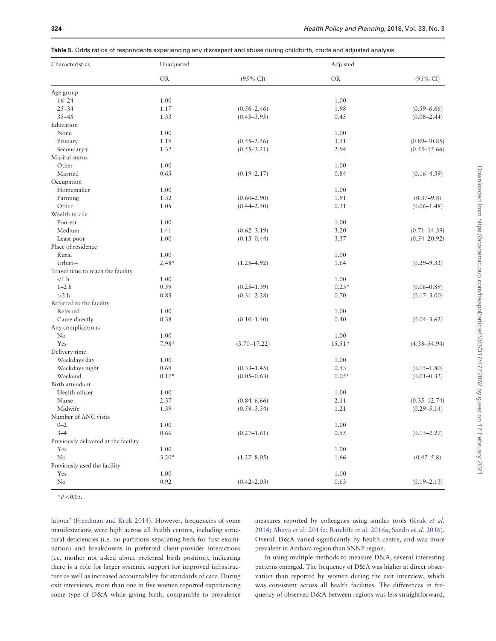<span id="page-7-0"></span>Table 5. Odds ratios of respondents experiencing any disrespect and abuse during childbirth, crude and adjusted analysis

| Characteristics                      | Unadjusted |                     | Adjusted  |                     |
|--------------------------------------|------------|---------------------|-----------|---------------------|
|                                      | <b>OR</b>  | $(95\% \text{ CI})$ | <b>OR</b> | $(95\% \text{ CI})$ |
| Age group                            |            |                     |           |                     |
| $16 - 24$                            | 1.00       |                     | 1.00      |                     |
| $25 - 34$                            | 1.17       | $(0.56 - 2.46)$     | 1.98      | $(0.59 - 6.66)$     |
| $35 - 45$                            | 1.33       | $(0.45 - 3.95)$     | 0.45      | $(0.08 - 2.44)$     |
| Education                            |            |                     |           |                     |
| None                                 | 1.00       |                     | 1.00      |                     |
| Primary                              | 1.19       | $(0.55 - 2.56)$     | 3.11      | $(0.89 - 10.85)$    |
| Secondary+                           | 1.32       | $(0.55 - 3.21)$     | 2.94      | $(0.55 - 15.66)$    |
| Marital status                       |            |                     |           |                     |
| Other                                | 1.00       |                     | 1.00      |                     |
| Married                              | 0.65       | $(0.19 - 2.17)$     | 0.84      | $(0.16 - 4.39)$     |
| Occupation                           |            |                     |           |                     |
| Homemaker                            | 1.00       |                     | 1.00      |                     |
| Farming                              | 1.32       | $(0.60 - 2.90)$     | 1.91      | $(0.37 - 9.8)$      |
| Other                                | 1.05       | $(0.44 - 2.50)$     | 0.31      | $(0.06 - 1.48)$     |
| Wealth tercile                       |            |                     |           |                     |
| Poorest                              | 1.00       |                     | 1.00      |                     |
| Medium                               | 1.41       | $(0.62 - 3.19)$     | 3.20      | $(0.71 - 14.39)$    |
| Least poor                           | 1.00       | $(0.13 - 0.44)$     | 3.37      | $(0.54 - 20.92)$    |
| Place of residence                   |            |                     |           |                     |
| Rural                                | 1.00       |                     | 1.00      |                     |
| $Urban+$                             | $2.48*$    | $(1.25 - 4.92)$     | 1.64      | $(0.29 - 9.32)$     |
| Travel time to reach the facility    |            |                     |           |                     |
| $<$ 1 $h$                            | 1.00       |                     | 1.00      |                     |
| $1-2$ h                              | 0.59       | $(0.25 - 1.39)$     | $0.23*$   | $(0.06 - 0.89)$     |
| >2 h                                 | 0.85       | $(0.31 - 2.28)$     | 0.70      | $(0.17 - 3.00)$     |
| Referred to the facility             |            |                     |           |                     |
| Referred                             | 1.00       |                     | 1.00      |                     |
| Came directly                        | 0.38       | $(0.10 - 1.40)$     | 0.40      | $(0.04 - 3.62)$     |
| Any complications                    |            |                     |           |                     |
| No                                   | 1.00       |                     | 1.00      |                     |
| Yes                                  | 7.98*      | $(3.70 - 17.22)$    | 15.51*    | $(4.38 - 54.94)$    |
| Delivery time                        |            |                     |           |                     |
| Weekdays day                         | 1.00       |                     | 1.00      |                     |
| Weekdays night                       | 0.69       | $(0.33 - 1.45)$     | 0.53      | $(0.15 - 1.80)$     |
| Weekend                              | $0.17*$    | $(0.05 - 0.63)$     | $0.05*$   | $(0.01 - 0.32)$     |
| Birth attendant                      |            |                     |           |                     |
| Health officer                       | 1.00       |                     | 1.00      |                     |
| Nurse                                | 2.37       | $(0.84 - 6.66)$     | 2.11      | $(0.35 - 12.74)$    |
| Midwife                              | 1.39       | $(0.58 - 3.34)$     | 1.21      | $(0.29 - 5.14)$     |
| Number of ANC visits                 |            |                     |           |                     |
| $0 - 2$                              | 1.00       |                     | 1.00      |                     |
| $3 - 4$                              | 0.66       | $(0.27 - 1.61)$     | 0.55      | $(0.13 - 2.27)$     |
| Previously delivered at the facility |            |                     |           |                     |
| Yes                                  | 1.00       |                     | 1.00      |                     |
| $\rm No$                             | $3.20*$    | $(1.27 - 8.05)$     | 1.66      | $(0.47 - 5.8)$      |
| Previously used the facility         |            |                     |           |                     |
| Yes                                  | 1.00       |                     | 1.00      |                     |
| $\rm No$                             | 0.92       | $(0.42 - 2.03)$     | 0.63      | $(0.19 - 2.13)$     |
|                                      |            |                     |           |                     |

 $*P<0.05$ .

labour' [\(Freedman and Kruk 2014\)](#page-10-0). However, frequencies of some manifestations were high across all health centres, including structural deficiencies (i.e. no partitions separating beds for first examination) and breakdowns in preferred client-provider interactions (i.e. mother not asked about preferred birth position), indicating there is a role for larger systemic support for improved infrastructure as well as increased accountability for standards of care. During exit interviews, more than one in five women reported experiencing some type of D&A while giving birth, comparable to prevalence measures reported by colleagues using similar tools (Kruk [et al.](#page-10-0) [2014;](#page-10-0) [Abuya et al. 2015a;](#page-9-0) [Ratcliffe et al. 2016a;](#page-10-0) [Sando](#page-10-0) et al. 2016). Overall D&A varied significantly by health centre, and was more prevalent in Amhara region than SNNP region.

In using multiple methods to measure D&A, several interesting patterns emerged. The frequency of D&A was higher at direct observation than reported by women during the exit interview, which was consistent across all health facilities. The differences in frequency of observed D&A between regions was less straightforward,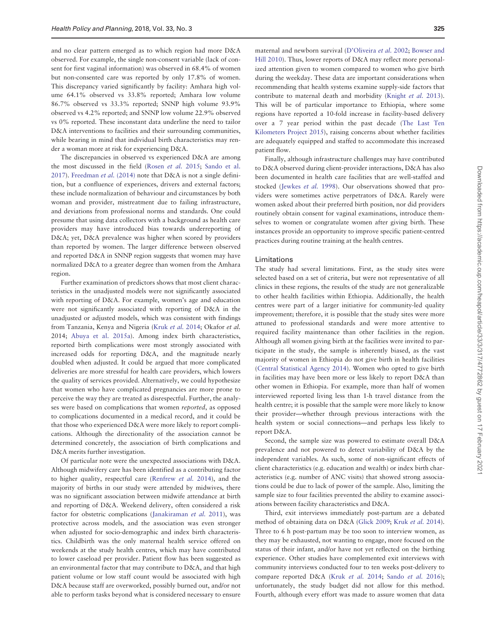and no clear pattern emerged as to which region had more D&A observed. For example, the single non-consent variable (lack of consent for first vaginal information) was observed in 68.4% of women but non-consented care was reported by only 17.8% of women. This discrepancy varied significantly by facility: Amhara high volume 64.1% observed vs 33.8% reported; Amhara low volume 86.7% observed vs 33.3% reported; SNNP high volume 93.9% observed vs 4.2% reported; and SNNP low volume 22.9% observed vs 0% reported. These inconstant data underline the need to tailor D&A interventions to facilities and their surrounding communities, while bearing in mind that individual birth characteristics may render a woman more at risk for experiencing D&A.

The discrepancies in observed vs experienced D&A are among the most discussed in the field [\(Rosen](#page-10-0) et al. 2015; [Sando et al.](#page-10-0) [2017\)](#page-10-0). [Freedman](#page-10-0) et al. (2014) note that D&A is not a single definition, but a confluence of experiences, drivers and external factors; these include normalization of behaviour and circumstances by both woman and provider, mistreatment due to failing infrastructure, and deviations from professional norms and standards. One could presume that using data collectors with a background as health care providers may have introduced bias towards underreporting of D&A; yet, D&A prevalence was higher when scored by providers than reported by women. The larger difference between observed and reported D&A in SNNP region suggests that women may have normalized D&A to a greater degree than women from the Amhara region.

Further examination of predictors shows that most client characteristics in the unadjusted models were not significantly associated with reporting of D&A. For example, women's age and education were not significantly associated with reporting of D&A in the unadjusted or adjusted models, which was consistent with findings from Tanzania, Kenya and Nigeria ([Kruk](#page-10-0) et al. 2014; Okafor et al. 2014; [Abuya et al. 2015a](#page-9-0)). Among index birth characteristics, reported birth complications were most strongly associated with increased odds for reporting D&A, and the magnitude nearly doubled when adjusted. It could be argued that more complicated deliveries are more stressful for health care providers, which lowers the quality of services provided. Alternatively, we could hypothesize that women who have complicated pregnancies are more prone to perceive the way they are treated as disrespectful. Further, the analyses were based on complications that women *reported*, as opposed to complications documented in a medical record, and it could be that those who experienced D&A were more likely to report complications. Although the directionality of the association cannot be determined concretely, the association of birth complications and D&A merits further investigation.

Of particular note were the unexpected associations with D&A. Although midwifery care has been identified as a contributing factor to higher quality, respectful care ([Renfrew](#page-10-0) et al. 2014), and the majority of births in our study were attended by midwives, there was no significant association between midwife attendance at birth and reporting of D&A. Weekend delivery, often considered a risk factor for obstetric complications [\(Janakiraman](#page-10-0) et al. 2011), was protective across models, and the association was even stronger when adjusted for socio-demographic and index birth characteristics. Childbirth was the only maternal health service offered on weekends at the study health centres, which may have contributed to lower caseload per provider. Patient flow has been suggested as an environmental factor that may contribute to D&A, and that high patient volume or low staff count would be associated with high D&A because staff are overworked, possibly burned out, and/or not able to perform tasks beyond what is considered necessary to ensure

maternal and newborn survival [\(D'Oliveira](#page-9-0) et al. 2002; [Bowser and](#page-9-0) [Hill 2010](#page-9-0)). Thus, lower reports of D&A may reflect more personalized attention given to women compared to women who give birth during the weekday. These data are important considerations when recommending that health systems examine supply-side factors that contribute to maternal death and morbidity ([Knight](#page-10-0) et al. 2013). This will be of particular importance to Ethiopia, where some regions have reported a 10-fold increase in facility-based delivery over a 7 year period within the past decade [\(The Last Ten](#page-10-0) [Kilometers Project 2015\)](#page-10-0), raising concerns about whether facilities are adequately equipped and staffed to accommodate this increased patient flow.

Finally, although infrastructure challenges may have contributed to D&A observed during client-provider interactions, D&A has also been documented in health care facilities that are well-staffed and stocked [\(Jewkes](#page-10-0) et al. 1998). Our observations showed that providers were sometimes active perpetrators of D&A. Rarely were women asked about their preferred birth position, nor did providers routinely obtain consent for vaginal examinations, introduce themselves to women or congratulate women after giving birth. These instances provide an opportunity to improve specific patient-centred practices during routine training at the health centres.

#### Limitations

The study had several limitations. First, as the study sites were selected based on a set of criteria, but were not representative of all clinics in these regions, the results of the study are not generalizable to other health facilities within Ethiopia. Additionally, the health centres were part of a larger initiative for community-led quality improvement; therefore, it is possible that the study sites were more attuned to professional standards and were more attentive to required facility maintenance than other facilities in the region. Although all women giving birth at the facilities were invited to participate in the study, the sample is inherently biased, as the vast majority of women in Ethiopia do not give birth in health facilities ([Central Statistical Agency 2014](#page-9-0)). Women who opted to give birth in facilities may have been more or less likely to report D&A than other women in Ethiopia. For example, more than half of women interviewed reported living less than 1-h travel distance from the health centre; it is possible that the sample were more likely to know their provider—whether through previous interactions with the health system or social connections—and perhaps less likely to report D&A.

Second, the sample size was powered to estimate overall D&A prevalence and not powered to detect variability of D&A by the independent variables. As such, some of non-significant effects of client characteristics (e.g. education and wealth) or index birth characteristics (e.g. number of ANC visits) that showed strong associations could be due to lack of power of the sample. Also, limiting the sample size to four facilities prevented the ability to examine associations between facility characteristics and D&A.

Third, exit interviews immediately post-partum are a debated method of obtaining data on D&A ([Glick 2009;](#page-10-0) [Kruk](#page-10-0) et al. 2014). Three to 6 h post-partum may be too soon to interview women, as they may be exhausted, not wanting to engage, more focused on the status of their infant, and/or have not yet reflected on the birthing experience. Other studies have complemented exit interviews with community interviews conducted four to ten weeks post-delivery to compare reported D&A (Kruk [et al.](#page-10-0) 2014; [Sando](#page-10-0) et al. 2016); unfortunately, the study budget did not allow for this method. Fourth, although every effort was made to assure women that data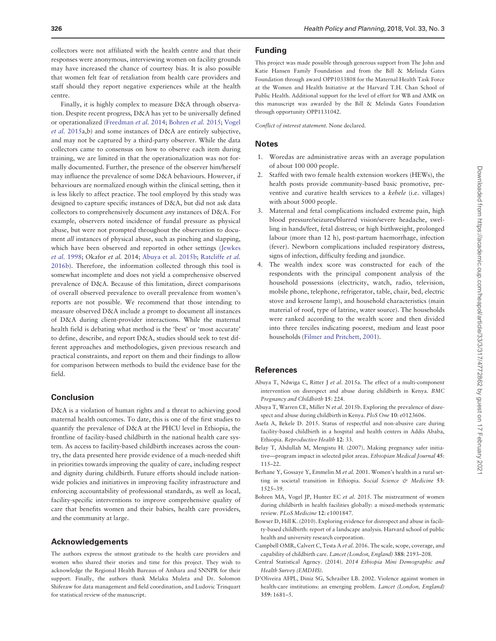<span id="page-9-0"></span>collectors were not affiliated with the health centre and that their responses were anonymous, interviewing women on facility grounds may have increased the chance of courtesy bias. It is also possible that women felt fear of retaliation from health care providers and staff should they report negative experiences while at the health centre.

Finally, it is highly complex to measure D&A through observation. Despite recent progress, D&A has yet to be universally defined or operationalized [\(Freedman](#page-10-0) et al. 2014; Bohren et al. 2015; [Vogel](#page-10-0) et al. [2015](#page-10-0)a,b) and some instances of D&A are entirely subjective, and may not be captured by a third-party observer. While the data collectors came to consensus on how to observe each item during training, we are limited in that the operationalization was not formally documented. Further, the presence of the observer him/herself may influence the prevalence of some D&A behaviours. However, if behaviours are normalized enough within the clinical setting, then it is less likely to affect practice. The tool employed by this study was designed to capture specific instances of D&A, but did not ask data collectors to comprehensively document any instances of D&A. For example, observers noted incidence of fundal pressure as physical abuse, but were not prompted throughout the observation to document all instances of physical abuse, such as pinching and slapping, which have been observed and reported in other settings [\(Jewkes](#page-10-0) et al. [1998;](#page-10-0) Okafor et al. 2014; Abuya et al. 2015b; [Ratcliffe](#page-10-0) et al. [2016b](#page-10-0)). Therefore, the information collected through this tool is somewhat incomplete and does not yield a comprehensive observed prevalence of D&A. Because of this limitation, direct comparisons of overall observed prevalence to overall prevalence from women's reports are not possible. We recommend that those intending to measure observed D&A include a prompt to document all instances of D&A during client-provider interactions. While the maternal health field is debating what method is the 'best' or 'most accurate' to define, describe, and report D&A, studies should seek to test different approaches and methodologies, given previous research and practical constraints, and report on them and their findings to allow for comparison between methods to build the evidence base for the field.

# Conclusion

D&A is a violation of human rights and a threat to achieving good maternal health outcomes. To date, this is one of the first studies to quantify the prevalence of D&A at the PHCU level in Ethiopia, the frontline of facility-based childbirth in the national health care system. As access to facility-based childbirth increases across the country, the data presented here provide evidence of a much-needed shift in priorities towards improving the quality of care, including respect and dignity during childbirth. Future efforts should include nationwide policies and initiatives in improving facility infrastructure and enforcing accountability of professional standards, as well as local, facility-specific interventions to improve comprehensive quality of care that benefits women and their babies, health care providers, and the community at large.

#### Acknowledgements

The authors express the utmost gratitude to the health care providers and women who shared their stories and time for this project. They wish to acknowledge the Regional Health Bureaus of Amhara and SNNPR for their support. Finally, the authors thank Melaku Muleta and Dr. Solomon Shiferaw for data management and field coordination, and Ludovic Trinquart for statistical review of the manuscript.

# Funding

This project was made possible through generous support from The John and Katie Hansen Family Foundation and from the Bill & Melinda Gates Foundation through award OPP1033808 for the Maternal Health Task Force at the Women and Health Initiative at the Harvard T.H. Chan School of Public Health. Additional support for the level of effort for WB and AMK on this manuscript was awarded by the Bill & Melinda Gates Foundation through opportunity OPP1131042.

Conflict of interest statement. None declared.

# **Notes**

- 1. Woredas are administrative areas with an average population of about 100 000 people.
- 2. Staffed with two female health extension workers (HEWs), the health posts provide community-based basic promotive, preventive and curative health services to a kebele (i.e. villages) with about 5000 people.
- 3. Maternal and fetal complications included extreme pain, high blood pressure/seizures/blurred vision/severe headache, swelling in hands/feet, fetal distress; or high birthweight, prolonged labour (more than 12 h), post-partum haemorrhage, infection (fever). Newborn complications included respiratory distress, signs of infection, difficulty feeding and jaundice.
- 4. The wealth index score was constructed for each of the respondents with the principal component analysis of the household possessions (electricity, watch, radio, television, mobile phone, telephone, refrigerator, table, chair, bed, electric stove and kerosene lamp), and household characteristics (main material of roof, type of latrine, water source). The households were ranked according to the wealth score and then divided into three terciles indicating poorest, medium and least poor households ([Filmer and Pritchett, 2001\)](#page-10-0).

# **References**

- Abuya T, Ndwiga C, Ritter J et al. 2015a. The effect of a multi-component intervention on disrespect and abuse during childbirth in Kenya. BMC Pregnancy and Childbirth 15: 224.
- Abuya T, Warren CE, Miller N et al. 2015b. Exploring the prevalence of disrespect and abuse during childbirth in Kenya. PloS One 10: e0123606.
- Asefa A, Bekele D. 2015. Status of respectful and non-abusive care during facility-based childbirth in a hospital and health centers in Addis Ababa, Ethiopia. Reproductive Health 12: 33.
- Belay T, Abdullah M, Mengistu H. (2007). Making pregnancy safer initiative—program impact in selected pilot areas. Ethiopian Medical Journal 45: 115–22.
- Berhane Y, Gossaye Y, Emmelin M et al. 2001. Women's health in a rural setting in societal transition in Ethiopia. Social Science & Medicine 53: 1525–39.
- Bohren MA, Vogel JP, Hunter EC et al. 2015. The mistreatment of women during childbirth in health facilities globally: a mixed-methods systematic review. PLoS Medicine 12: e1001847.
- Bowser D, Hill K. (2010). Exploring evidence for disrespect and abuse in facility-based childbirth: report of a landscape analysis. Harvard school of public health and university research corporation.
- Campbell OMR, Calvert C, Testa A et al. 2016. The scale, scope, coverage, and capability of childbirth care. Lancet (London, England) 388: 2193–208.
- Central Statistical Agency. (2014). 2014 Ethiopia Mini Demographic and Health Survey (EMDHS).
- D'Oliveira AFPL, Diniz SG, Schraiber LB. 2002. Violence against women in health-care institutions: an emerging problem. Lancet (London, England) 359: 1681–5.